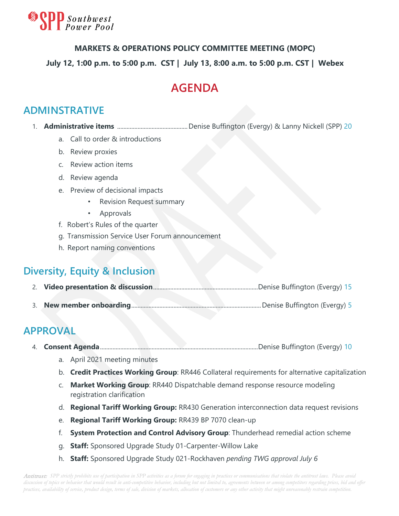

#### **MARKETS & OPERATIONS POLICY COMMITTEE MEETING (MOPC)**

#### **July 12, 1:00 p.m. to 5:00 p.m. CST | July 13, 8:00 a.m. to 5:00 p.m. CST | Webex**

# **AGENDA**

#### **ADMINSTRATIVE**

- 1. **Administrative items** .............................................Denise Buffington (Evergy) & Lanny Nickell (SPP) 20
	- a. Call to order & introductions
	- b. Review proxies
	- c. Review action items
	- d. Review agenda
	- e. Preview of decisional impacts
		- Revision Request summary
		- Approvals
	- f. Robert's Rules of the quarter
	- g. Transmission Service User Forum announcement
	- h. Report naming conventions

### **Diversity, Equity & Inclusion**

- 2. **Video presentation & discussion**...................................................................Denise Buffington (Evergy) 15
- 3. **New member onboarding**...................................................................................Denise Buffington (Evergy) 5

### **APPROVAL**

4. **Consent Agenda**.....................................................................................................Denise Buffington (Evergy) 10

- a. April 2021 meeting minutes
- b. **Credit Practices Working Group**: RR446 Collateral requirements for alternative capitalization
- c. **Market Working Group**: RR440 Dispatchable demand response resource modeling registration clarification
- d. **Regional Tariff Working Group:** RR430 Generation interconnection data request revisions
- e. **Regional Tariff Working Group:** RR439 BP 7070 clean-up
- f. **System Protection and Control Advisory Group**: Thunderhead remedial action scheme
- g. **Staff:** Sponsored Upgrade Study 01-Carpenter-Willow Lake
- h. **Staff:** Sponsored Upgrade Study 021-Rockhaven *pending TWG approval July 6*

Antitrust: *SPP strictly prohibits use of participation in SPP activities as a forum for engaging in practices or communications that violate the antitrust laws. Please avoid discussion of topics or behavior that would result in anti-competitive behavior, including but not limited to, agreements between or among competitors regarding prices, bid and offer practices, availability of service, product design, terms of sale, division of markets, allocation of customers or any other activity that might unreasonably restrain competition.*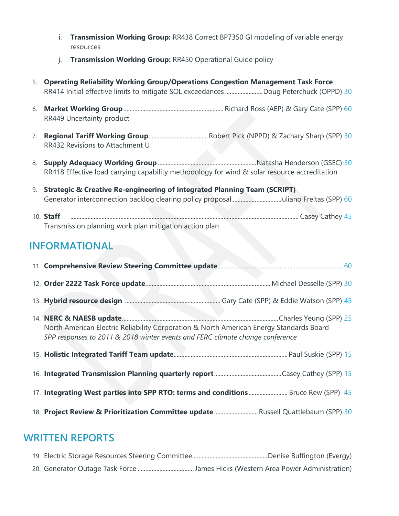- i. **Transmission Working Group:** RR438 Correct BP7350 GI modeling of variable energy resources
- j. **Transmission Working Group:** RR450 Operational Guide policy
- 5. **Operating Reliability Working Group/Operations Congestion Management Task Force** RR414 Initial effective limits to mitigate SOL exceedances ........................Doug Peterchuck (OPPD) 30
- 6. **Market Working Group**................................................................ Richard Ross (AEP) & Gary Cate (SPP) 60 RR449 Uncertainty product
- 7. **Regional Tariff Working Group**......................................Robert Pick (NPPD) & Zachary Sharp (SPP) 30 RR432 Revisions to Attachment U
- 8. **Supply Adequacy Working Group**...............................................................Natasha Henderson (GSEC) 30 RR418 Effective load carrying capability methodology for wind & solar resource accreditation
- 9. **Strategic & Creative Re-engineering of Integrated Planning Team (SCRIPT)** Generator interconnection backlog clearing policy proposal...............................Juliano Freitas (SPP) 60
- 10. **Staff** .................................................................................................................................................. Casey Cathey 45 Transmission planning work plan mitigation action plan

## **INFORMATIONAL**

| 14. NERC & NAESB update Manual Manual Manual Manual Manual Manual Charles Yeung (SPP) 25<br>North American Electric Reliability Corporation & North American Energy Standards Board<br>SPP responses to 2011 & 2018 winter events and FERC climate change conference |  |  |  |  |  |
|----------------------------------------------------------------------------------------------------------------------------------------------------------------------------------------------------------------------------------------------------------------------|--|--|--|--|--|
|                                                                                                                                                                                                                                                                      |  |  |  |  |  |
|                                                                                                                                                                                                                                                                      |  |  |  |  |  |
| 17. Integrating West parties into SPP RTO: terms and conditions  Bruce Rew (SPP) 45                                                                                                                                                                                  |  |  |  |  |  |
| 18. Project Review & Prioritization Committee update  Russell Quattlebaum (SPP) 30                                                                                                                                                                                   |  |  |  |  |  |

#### **WRITTEN REPORTS**